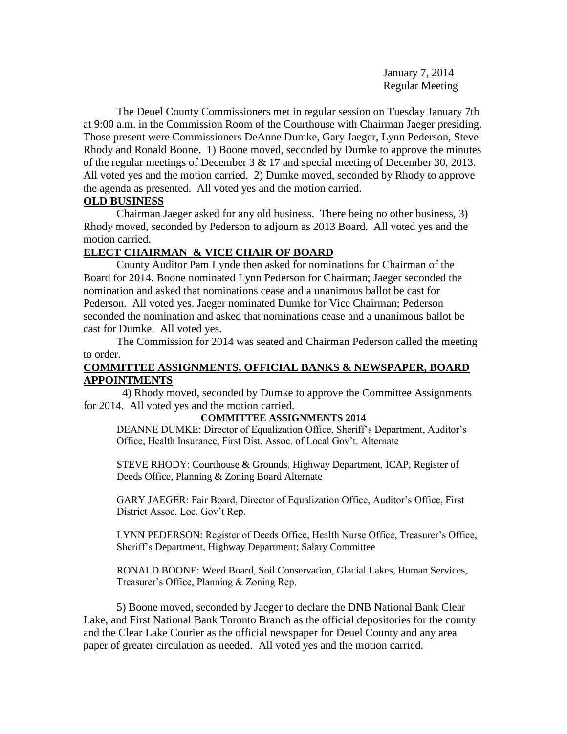January 7, 2014 Regular Meeting

The Deuel County Commissioners met in regular session on Tuesday January 7th at 9:00 a.m. in the Commission Room of the Courthouse with Chairman Jaeger presiding. Those present were Commissioners DeAnne Dumke, Gary Jaeger, Lynn Pederson, Steve Rhody and Ronald Boone. 1) Boone moved, seconded by Dumke to approve the minutes of the regular meetings of December 3 & 17 and special meeting of December 30, 2013. All voted yes and the motion carried. 2) Dumke moved, seconded by Rhody to approve the agenda as presented. All voted yes and the motion carried.

## **OLD BUSINESS**

Chairman Jaeger asked for any old business. There being no other business, 3) Rhody moved, seconded by Pederson to adjourn as 2013 Board. All voted yes and the motion carried.

## **ELECT CHAIRMAN & VICE CHAIR OF BOARD**

County Auditor Pam Lynde then asked for nominations for Chairman of the Board for 2014. Boone nominated Lynn Pederson for Chairman; Jaeger seconded the nomination and asked that nominations cease and a unanimous ballot be cast for Pederson. All voted yes. Jaeger nominated Dumke for Vice Chairman; Pederson seconded the nomination and asked that nominations cease and a unanimous ballot be cast for Dumke. All voted yes.

The Commission for 2014 was seated and Chairman Pederson called the meeting to order.

## **COMMITTEE ASSIGNMENTS, OFFICIAL BANKS & NEWSPAPER, BOARD APPOINTMENTS**

 4) Rhody moved, seconded by Dumke to approve the Committee Assignments for 2014. All voted yes and the motion carried.

### **COMMITTEE ASSIGNMENTS 2014**

DEANNE DUMKE: Director of Equalization Office, Sheriff's Department, Auditor's Office, Health Insurance, First Dist. Assoc. of Local Gov't. Alternate

STEVE RHODY: Courthouse & Grounds, Highway Department, ICAP, Register of Deeds Office, Planning & Zoning Board Alternate

GARY JAEGER: Fair Board, Director of Equalization Office, Auditor's Office, First District Assoc. Loc. Gov't Rep.

LYNN PEDERSON: Register of Deeds Office, Health Nurse Office, Treasurer's Office, Sheriff's Department, Highway Department; Salary Committee

RONALD BOONE: Weed Board, Soil Conservation, Glacial Lakes, Human Services, Treasurer's Office, Planning & Zoning Rep.

5) Boone moved, seconded by Jaeger to declare the DNB National Bank Clear Lake, and First National Bank Toronto Branch as the official depositories for the county and the Clear Lake Courier as the official newspaper for Deuel County and any area paper of greater circulation as needed. All voted yes and the motion carried.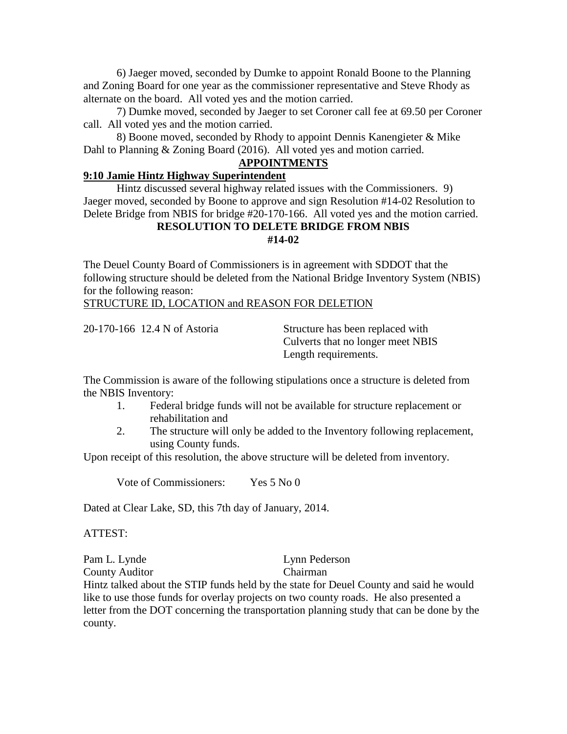6) Jaeger moved, seconded by Dumke to appoint Ronald Boone to the Planning and Zoning Board for one year as the commissioner representative and Steve Rhody as alternate on the board. All voted yes and the motion carried.

7) Dumke moved, seconded by Jaeger to set Coroner call fee at 69.50 per Coroner call. All voted yes and the motion carried.

8) Boone moved, seconded by Rhody to appoint Dennis Kanengieter & Mike Dahl to Planning & Zoning Board (2016). All voted yes and motion carried.

## **APPOINTMENTS**

## **9:10 Jamie Hintz Highway Superintendent**

Hintz discussed several highway related issues with the Commissioners. 9) Jaeger moved, seconded by Boone to approve and sign Resolution #14-02 Resolution to Delete Bridge from NBIS for bridge #20-170-166. All voted yes and the motion carried.

### **RESOLUTION TO DELETE BRIDGE FROM NBIS #14-02**

The Deuel County Board of Commissioners is in agreement with SDDOT that the following structure should be deleted from the National Bridge Inventory System (NBIS) for the following reason:

STRUCTURE ID, LOCATION and REASON FOR DELETION

20-170-166 12.4 N of Astoria Structure has been replaced with Culverts that no longer meet NBIS Length requirements.

The Commission is aware of the following stipulations once a structure is deleted from the NBIS Inventory:

- 1. Federal bridge funds will not be available for structure replacement or rehabilitation and
- 2. The structure will only be added to the Inventory following replacement, using County funds.

Upon receipt of this resolution, the above structure will be deleted from inventory.

Vote of Commissioners: Yes 5 No 0

Dated at Clear Lake, SD, this 7th day of January, 2014.

ATTEST:

Pam L. Lynde Lynn Pederson County Auditor Chairman

Hintz talked about the STIP funds held by the state for Deuel County and said he would like to use those funds for overlay projects on two county roads. He also presented a letter from the DOT concerning the transportation planning study that can be done by the county.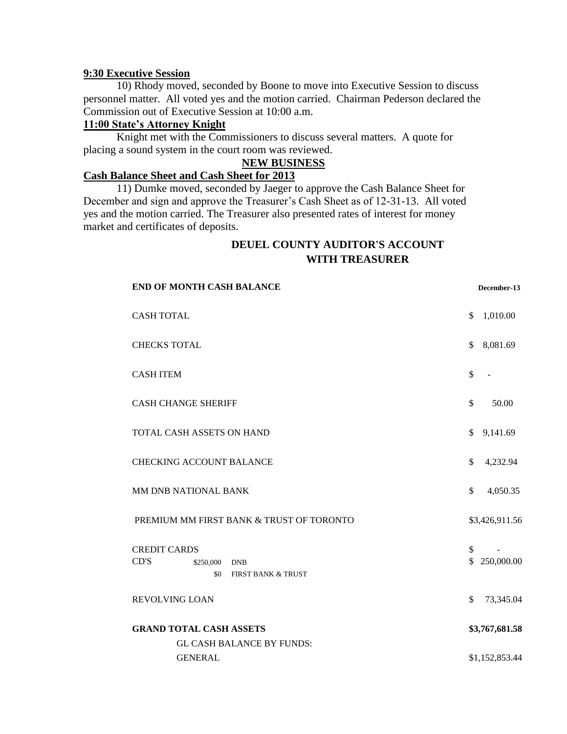### **9:30 Executive Session**

10) Rhody moved, seconded by Boone to move into Executive Session to discuss personnel matter. All voted yes and the motion carried. Chairman Pederson declared the Commission out of Executive Session at 10:00 a.m.

## **11:00 State's Attorney Knight**

Knight met with the Commissioners to discuss several matters. A quote for placing a sound system in the court room was reviewed.

### **NEW BUSINESS**

## **Cash Balance Sheet and Cash Sheet for 2013**

11) Dumke moved, seconded by Jaeger to approve the Cash Balance Sheet for December and sign and approve the Treasurer's Cash Sheet as of 12-31-13. All voted yes and the motion carried. The Treasurer also presented rates of interest for money market and certificates of deposits.

## **DEUEL COUNTY AUDITOR'S ACCOUNT WITH TREASURER**

| <b>END OF MONTH CASH BALANCE</b>                                                               | December-13        |
|------------------------------------------------------------------------------------------------|--------------------|
| <b>CASH TOTAL</b>                                                                              | \$<br>1,010.00     |
| <b>CHECKS TOTAL</b>                                                                            | \$<br>8,081.69     |
| <b>CASH ITEM</b>                                                                               | \$                 |
| <b>CASH CHANGE SHERIFF</b>                                                                     | \$<br>50.00        |
| TOTAL CASH ASSETS ON HAND                                                                      | \$<br>9,141.69     |
| <b>CHECKING ACCOUNT BALANCE</b>                                                                | \$<br>4,232.94     |
| MM DNB NATIONAL BANK                                                                           | \$<br>4,050.35     |
| PREMIUM MM FIRST BANK & TRUST OF TORONTO                                                       | \$3,426,911.56     |
| <b>CREDIT CARDS</b><br>CD'S<br>\$250,000<br><b>DNB</b><br>\$0<br><b>FIRST BANK &amp; TRUST</b> | \$<br>\$250,000.00 |
| <b>REVOLVING LOAN</b>                                                                          | \$<br>73,345.04    |
| <b>GRAND TOTAL CASH ASSETS</b><br><b>GL CASH BALANCE BY FUNDS:</b>                             | \$3,767,681.58     |
| <b>GENERAL</b>                                                                                 | \$1,152,853.44     |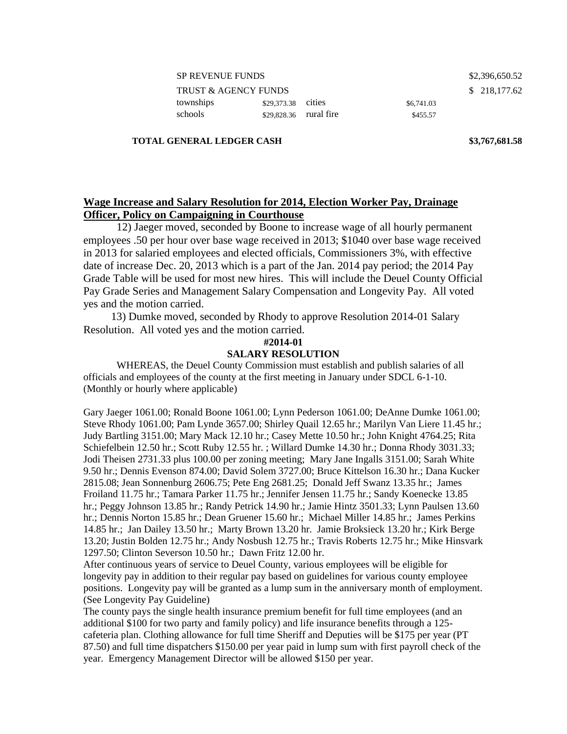TRUST & AGENCY FUNDS \$218,177.62 townships  $$29,373.38$  cities  $$6,741.03$ schools \$29,828.36 rural fire \$455.57

### **TOTAL GENERAL LEDGER CASH \$3,767,681.58**

# **Wage Increase and Salary Resolution for 2014, Election Worker Pay, Drainage Officer, Policy on Campaigning in Courthouse**

12) Jaeger moved, seconded by Boone to increase wage of all hourly permanent employees .50 per hour over base wage received in 2013; \$1040 over base wage received in 2013 for salaried employees and elected officials, Commissioners 3%, with effective date of increase Dec. 20, 2013 which is a part of the Jan. 2014 pay period; the 2014 Pay Grade Table will be used for most new hires. This will include the Deuel County Official Pay Grade Series and Management Salary Compensation and Longevity Pay. All voted yes and the motion carried.

 13) Dumke moved, seconded by Rhody to approve Resolution 2014-01 Salary Resolution. All voted yes and the motion carried.

### **#2014-01**

## **SALARY RESOLUTION**

WHEREAS, the Deuel County Commission must establish and publish salaries of all officials and employees of the county at the first meeting in January under SDCL 6-1-10. (Monthly or hourly where applicable)

Gary Jaeger 1061.00; Ronald Boone 1061.00; Lynn Pederson 1061.00; DeAnne Dumke 1061.00; Steve Rhody 1061.00; Pam Lynde 3657.00; Shirley Quail 12.65 hr.; Marilyn Van Liere 11.45 hr.; Judy Bartling 3151.00; Mary Mack 12.10 hr.; Casey Mette 10.50 hr.; John Knight 4764.25; Rita Schiefelbein 12.50 hr.; Scott Ruby 12.55 hr. ; Willard Dumke 14.30 hr.; Donna Rhody 3031.33; Jodi Theisen 2731.33 plus 100.00 per zoning meeting; Mary Jane Ingalls 3151.00; Sarah White 9.50 hr.; Dennis Evenson 874.00; David Solem 3727.00; Bruce Kittelson 16.30 hr.; Dana Kucker 2815.08; Jean Sonnenburg 2606.75; Pete Eng 2681.25; Donald Jeff Swanz 13.35 hr.; James Froiland 11.75 hr.; Tamara Parker 11.75 hr.; Jennifer Jensen 11.75 hr.; Sandy Koenecke 13.85 hr.; Peggy Johnson 13.85 hr.; Randy Petrick 14.90 hr.; Jamie Hintz 3501.33; Lynn Paulsen 13.60 hr.; Dennis Norton 15.85 hr.; Dean Gruener 15.60 hr.; Michael Miller 14.85 hr.; James Perkins 14.85 hr.; Jan Dailey 13.50 hr.; Marty Brown 13.20 hr. Jamie Broksieck 13.20 hr.; Kirk Berge 13.20; Justin Bolden 12.75 hr.; Andy Nosbush 12.75 hr.; Travis Roberts 12.75 hr.; Mike Hinsvark 1297.50; Clinton Severson 10.50 hr.; Dawn Fritz 12.00 hr.

After continuous years of service to Deuel County, various employees will be eligible for longevity pay in addition to their regular pay based on guidelines for various county employee positions. Longevity pay will be granted as a lump sum in the anniversary month of employment. (See Longevity Pay Guideline)

The county pays the single health insurance premium benefit for full time employees (and an additional \$100 for two party and family policy) and life insurance benefits through a 125 cafeteria plan. Clothing allowance for full time Sheriff and Deputies will be \$175 per year (PT 87.50) and full time dispatchers \$150.00 per year paid in lump sum with first payroll check of the year. Emergency Management Director will be allowed \$150 per year.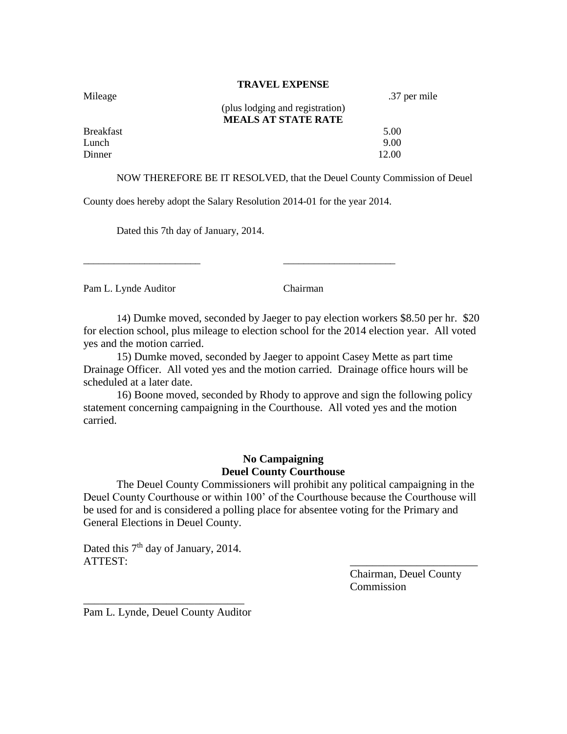### **TRAVEL EXPENSE**

| Mileage          |                                 | .37 per mile |
|------------------|---------------------------------|--------------|
|                  | (plus lodging and registration) |              |
|                  | <b>MEALS AT STATE RATE</b>      |              |
| <b>Breakfast</b> |                                 | 5.00         |
| Lunch            |                                 | 9.00         |
| Dinner           |                                 | 12.00        |

NOW THEREFORE BE IT RESOLVED, that the Deuel County Commission of Deuel

County does hereby adopt the Salary Resolution 2014-01 for the year 2014.

\_\_\_\_\_\_\_\_\_\_\_\_\_\_\_\_\_\_\_\_\_\_\_ \_\_\_\_\_\_\_\_\_\_\_\_\_\_\_\_\_\_\_\_\_\_

Dated this 7th day of January, 2014.

Pam L. Lynde Auditor Chairman

14) Dumke moved, seconded by Jaeger to pay election workers \$8.50 per hr. \$20 for election school, plus mileage to election school for the 2014 election year. All voted yes and the motion carried.

15) Dumke moved, seconded by Jaeger to appoint Casey Mette as part time Drainage Officer. All voted yes and the motion carried. Drainage office hours will be scheduled at a later date.

16) Boone moved, seconded by Rhody to approve and sign the following policy statement concerning campaigning in the Courthouse. All voted yes and the motion carried.

## **No Campaigning Deuel County Courthouse**

The Deuel County Commissioners will prohibit any political campaigning in the Deuel County Courthouse or within 100' of the Courthouse because the Courthouse will be used for and is considered a polling place for absentee voting for the Primary and General Elections in Deuel County.

Dated this 7<sup>th</sup> day of January, 2014. ATTEST:

> Chairman, Deuel County Commission

\_\_\_\_\_\_\_\_\_\_\_\_\_\_\_\_\_\_\_\_\_\_\_\_\_\_\_\_\_ Pam L. Lynde, Deuel County Auditor